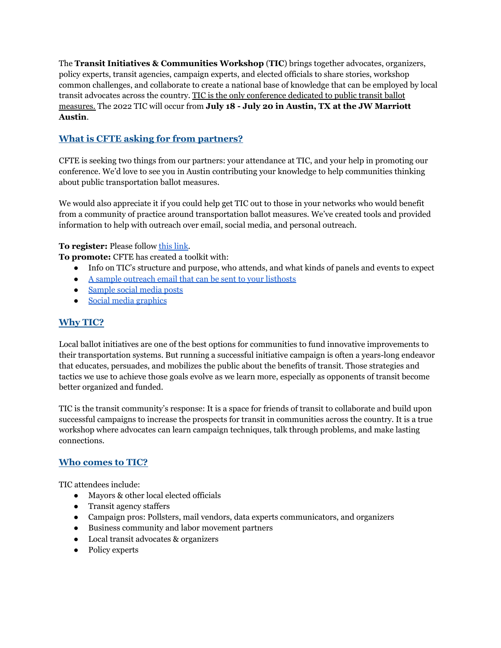The **Transit Initiatives & Communities Workshop** (**TIC**) brings together advocates, organizers, policy experts, transit agencies, campaign experts, and elected officials to share stories, workshop common challenges, and collaborate to create a national base of knowledge that can be employed by local transit advocates across the country. TIC is the only conference dedicated to public transit ballot measures. The 2022 TIC will occur from **July 18 - July 20 in Austin, TX at the JW Marriott Austin**.

## **What is CFTE asking for from partners?**

CFTE is seeking two things from our partners: your attendance at TIC, and your help in promoting our conference. We'd love to see you in Austin contributing your knowledge to help communities thinking about public transportation ballot measures.

We would also appreciate it if you could help get TIC out to those in your networks who would benefit from a community of practice around transportation ballot measures. We've created tools and provided information to help with outreach over email, social media, and personal outreach.

**To register:** Please follow this [link](https://www.apta.com/conferences-events/transit-initiatives-and-communities-workshop/registration/).

**To promote:** CFTE has created a toolkit with:

- Info on TIC's structure and purpose, who attends, and what kinds of panels and events to expect
- A sample [outreach](https://docs.google.com/document/d/1dTInGlQJQRtVtvCOR44X2xFOvCj5RYO4Bflr7fVLnZg/edit?usp=sharing) email that can be sent to your listhosts
- [Sample](https://docs.google.com/document/d/1uN6EJQtW272BnkY2bpSAQ7xjCrbt99PxDqLBuTcCg88/edit?usp=sharing) social media posts
- Social media [graphics](https://drive.google.com/drive/folders/1IYx3HWV0o1YntpgdZ3zVKKfcQeApa-Ms?usp=sharing)

## **Why TIC?**

Local ballot initiatives are one of the best options for communities to fund innovative improvements to their transportation systems. But running a successful initiative campaign is often a years-long endeavor that educates, persuades, and mobilizes the public about the benefits of transit. Those strategies and tactics we use to achieve those goals evolve as we learn more, especially as opponents of transit become better organized and funded.

TIC is the transit community's response: It is a space for friends of transit to collaborate and build upon successful campaigns to increase the prospects for transit in communities across the country. It is a true workshop where advocates can learn campaign techniques, talk through problems, and make lasting connections.

## **Who comes to TIC?**

TIC attendees include:

- Mayors & other local elected officials
- Transit agency staffers
- Campaign pros: Pollsters, mail vendors, data experts communicators, and organizers
- Business community and labor movement partners
- Local transit advocates & organizers
- Policy experts